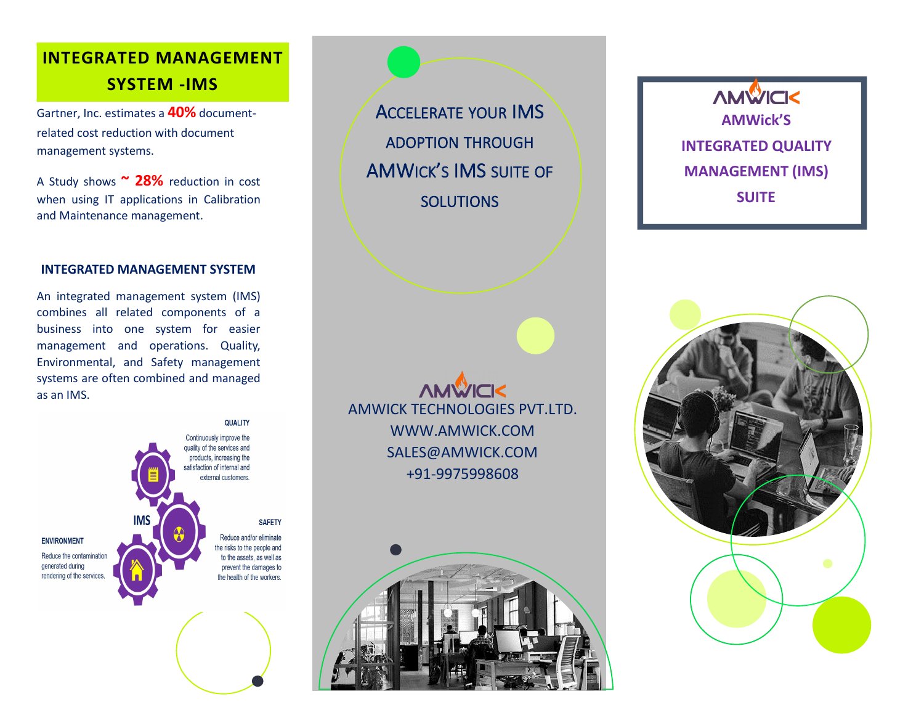# **INTEGRATED MANAGEMENT SYSTEM -IMS**

Gartner, Inc. estimates a **40%** document related cost reduction with document management systems.

A Study shows **~ 28%** reduction in cost when using IT applications in Calibration and Maintenance management.

#### **INTEGRATED MANAGEMENT SYSTEM**

An integrated management system (IMS) combines all related components of a business into one system for easier management and operations. Quality, Environmental, and Safety management systems are often combined and managed as an IMS.

QUALITY Continuously improve the quality of the services and products, increasing the satisfaction of internal and external customers. **IMS SAFETY** Reduce and/or eliminate **ENVIRONMENT** the risks to the people and Reduce the contamination to the assets, as well as generated during prevent the damages to rendering of the services. the health of the workers.

ADOPTION THROUGH AMWICK'S IMS SUITE OF SOLUTIONS

**AMWICK** AMWICK TECHNOLOGIES PVT.LTD. [WWW.AMWICK.COM](http://www.amwick.com) [SALES@AMWICK.COM](mailto:sales@amwick.com) +91-9975998608